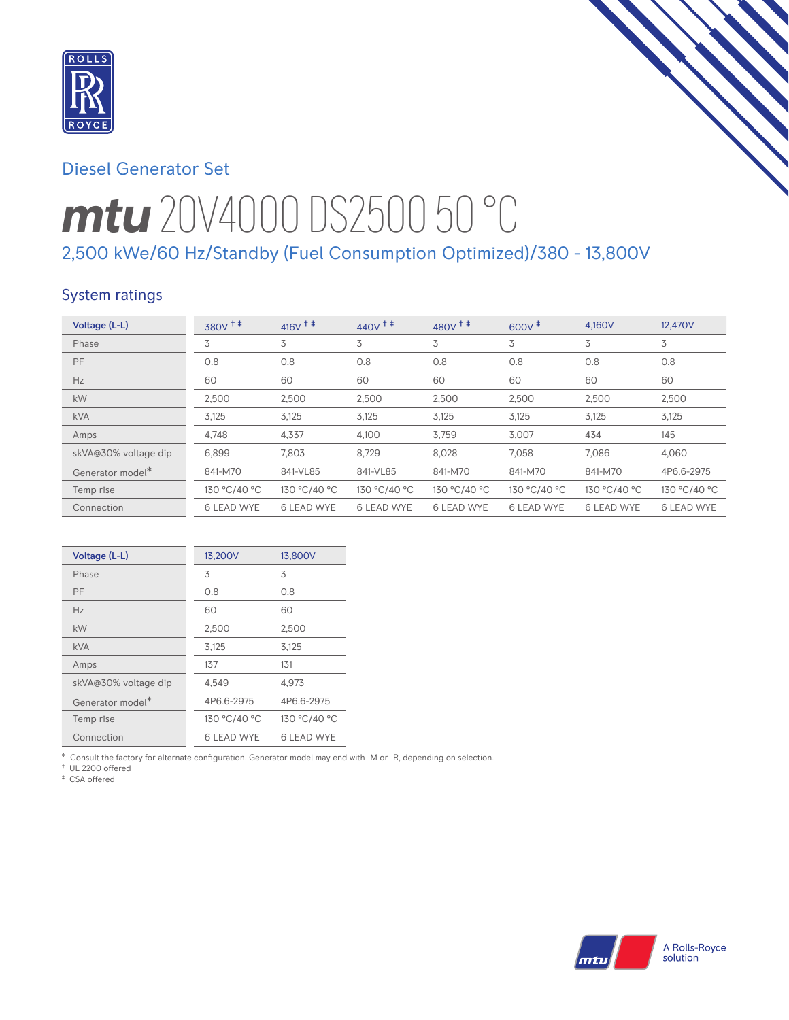

# Diesel Generator Set

# *mtu* 20V4000 DS2500 50 °C 2,500 kWe/60 Hz/Standby (Fuel Consumption Optimized)/380 - 13,800V

## System ratings

| Voltage (L-L)        | $380V$ <sup><math>+</math></sup> | $416V$ <sup>++</sup> | $440V$ <sup>++</sup> | $480V$ <sup>++</sup> | $600V^{\ddagger}$ | 4.160V            | 12,470V           |
|----------------------|----------------------------------|----------------------|----------------------|----------------------|-------------------|-------------------|-------------------|
| Phase                | 3                                | 3                    | 3                    | 3                    | 3                 | 3                 | 3                 |
| PF                   | 0.8                              | 0.8                  | 0.8                  | 0.8                  | 0.8               | 0.8               | 0.8               |
| Hz                   | 60                               | 60                   | 60                   | 60                   | 60                | 60                | 60                |
| kW                   | 2,500                            | 2,500                | 2,500                | 2,500                | 2,500             | 2,500             | 2,500             |
| <b>kVA</b>           | 3,125                            | 3,125                | 3,125                | 3,125                | 3,125             | 3,125             | 3,125             |
| Amps                 | 4,748                            | 4,337                | 4,100                | 3,759                | 3.007             | 434               | 145               |
| skVA@30% voltage dip | 6,899                            | 7.803                | 8,729                | 8,028                | 7.058             | 7.086             | 4,060             |
| Generator model*     | 841-M70                          | 841-VL85             | 841-VL85             | 841-M70              | 841-M70           | 841-M70           | 4P6.6-2975        |
| Temp rise            | 130 °C/40 °C                     | 130 °C/40 °C         | 130 °C/40 °C         | 130 °C/40 °C         | 130 °C/40 °C      | 130 °C/40 °C      | 130 °C/40 °C      |
| Connection           | <b>6 LEAD WYE</b>                | <b>6 LEAD WYE</b>    | <b>6 LEAD WYE</b>    | <b>6 LEAD WYE</b>    | <b>6 LEAD WYE</b> | <b>6 LEAD WYE</b> | <b>6 LEAD WYE</b> |

| Voltage (L-L)        | 13,200V           | 13,800V           |
|----------------------|-------------------|-------------------|
| Phase                | 3                 | 3                 |
| PF                   | 0.8               | 0.8               |
| Hz                   | 60                | 60                |
| kW                   | 2,500             | 2,500             |
| <b>kVA</b>           | 3,125             | 3,125             |
| Amps                 | 137               | 131               |
| skVA@30% voltage dip | 4,549             | 4,973             |
| Generator model*     | 4P6.6-2975        | 4P6.6-2975        |
| Temp rise            | 130 °C/40 °C      | 130 °C/40 °C      |
| Connection           | <b>6 LEAD WYE</b> | <b>6 LEAD WYE</b> |

\* Consult the factory for alternate configuration. Generator model may end with -M or -R, depending on selection.

† UL 2200 offered

‡ CSA offered

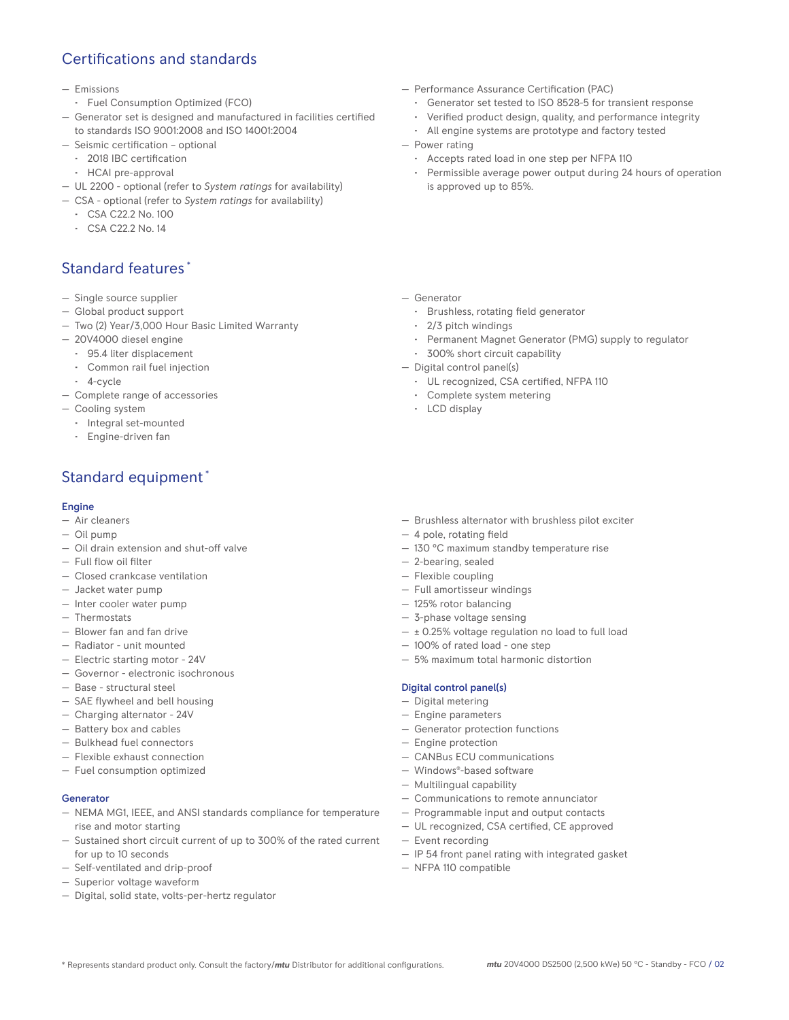# Certifications and standards

- Emissions
- Fuel Consumption Optimized (FCO)
- Generator set is designed and manufactured in facilities certified to standards ISO 9001:2008 and ISO 14001:2004
- Seismic certification optional
- 2018 IBC certification
- HCAI pre-approval
- UL 2200 optional (refer to *System ratings* for availability)
- CSA optional (refer to *System ratings* for availability)
	- CSA C22.2 No. 100
	- CSA C22.2 No. 14

# Standard features \*

- Single source supplier
- Global product support
- Two (2) Year/3,000 Hour Basic Limited Warranty
- 20V4000 diesel engine
	- 95.4 liter displacement
	- Common rail fuel injection
- 4-cycle
- Complete range of accessories
- Cooling system
	- Integral set-mounted
	- Engine-driven fan

# Standard equipment \*

#### **Engine**

- Air cleaners
- Oil pump
- Oil drain extension and shut-off valve
- Full flow oil filter
- Closed crankcase ventilation
- Jacket water pump
- Inter cooler water pump
- Thermostats
- Blower fan and fan drive
- Radiator unit mounted
- Electric starting motor 24V
- Governor electronic isochronous
- Base structural steel
- SAE flywheel and bell housing
- Charging alternator 24V
- Battery box and cables
- Bulkhead fuel connectors
- Flexible exhaust connection
- Fuel consumption optimized

#### Generator

- NEMA MG1, IEEE, and ANSI standards compliance for temperature rise and motor starting
- Sustained short circuit current of up to 300% of the rated current for up to 10 seconds
- Self-ventilated and drip-proof
- Superior voltage waveform
- Digital, solid state, volts-per-hertz regulator
- Performance Assurance Certification (PAC)
	- Generator set tested to ISO 8528-5 for transient response
	- Verified product design, quality, and performance integrity
	- All engine systems are prototype and factory tested
- Power rating
	- Accepts rated load in one step per NFPA 110
	- Permissible average power output during 24 hours of operation is approved up to 85%.
- Generator
	- Brushless, rotating field generator
	- 2/3 pitch windings
	- Permanent Magnet Generator (PMG) supply to regulator
	- 300% short circuit capability
- Digital control panel(s)
	- UL recognized, CSA certified, NFPA 110
	- Complete system metering
	- LCD display
- Brushless alternator with brushless pilot exciter
- 4 pole, rotating field
- 130 °C maximum standby temperature rise
- 2-bearing, sealed
- Flexible coupling
- Full amortisseur windings
- 125% rotor balancing
- 3-phase voltage sensing
- ± 0.25% voltage regulation no load to full load
- 100% of rated load one step
- 5% maximum total harmonic distortion

#### Digital control panel(s)

- Digital metering
- Engine parameters
- Generator protection functions
- Engine protection
- CANBus ECU communications
- Windows®-based software
- Multilingual capability
- Communications to remote annunciator
- Programmable input and output contacts
- UL recognized, CSA certified, CE approved
- Event recording
- IP 54 front panel rating with integrated gasket
- NFPA 110 compatible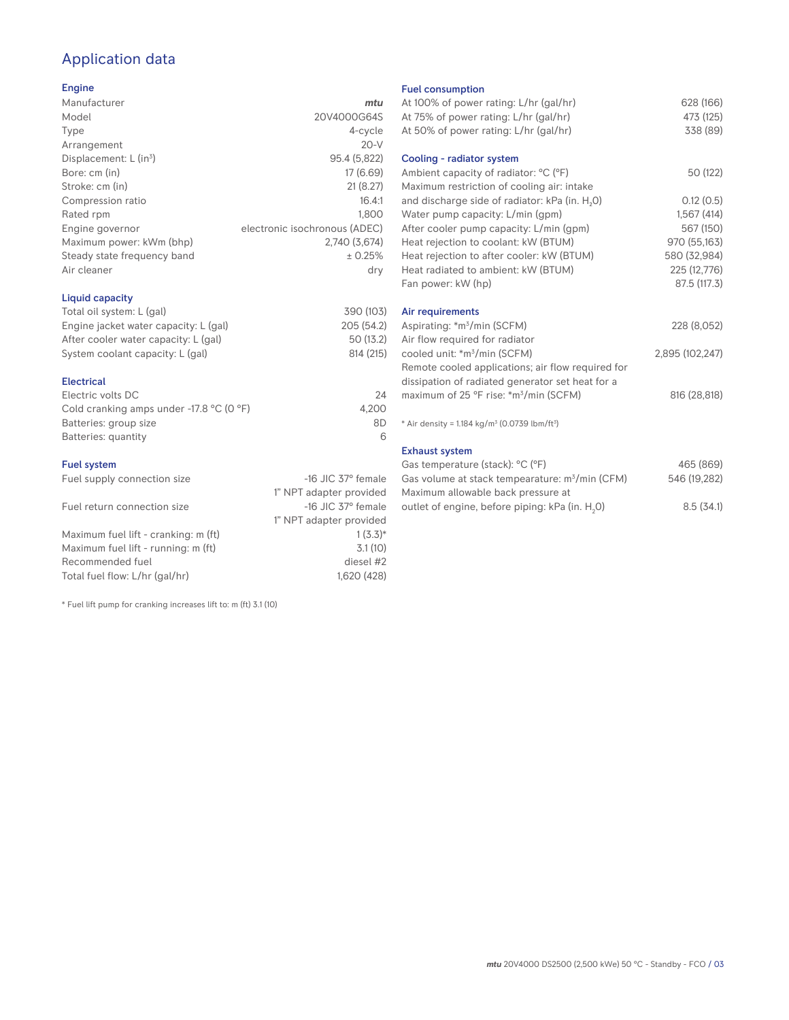# Application data

#### Engine

| Manufacturer                         | mtu                           |
|--------------------------------------|-------------------------------|
| Model                                | 20V4000G64S                   |
| Type                                 | 4-cycle                       |
| Arrangement                          | $20-V$                        |
| Displacement: $L$ (in <sup>3</sup> ) | 95.4 (5,822)                  |
| Bore: cm (in)                        | 17 (6.69)                     |
| Stroke: cm (in)                      | 21(8.27)                      |
| Compression ratio                    | 16.4:1                        |
| Rated rpm                            | 1.800                         |
| Engine governor                      | electronic isochronous (ADEC) |
| Maximum power: kWm (bhp)             | 2.740 (3.674)                 |
| Steady state frequency band          | ± 0.25%                       |
| Air cleaner                          | dry                           |
|                                      |                               |

#### Liquid capacity

| Total oil system: L (gal)             | 390 (103)  |
|---------------------------------------|------------|
| Engine jacket water capacity: L (gal) | 205 (54.2) |
| After cooler water capacity: L (gal)  | 50 (13.2)  |
| System coolant capacity: L (gal)      | 814 (215)  |
|                                       |            |

#### Electrical

| Electric volts DC                                            | 24    |
|--------------------------------------------------------------|-------|
| Cold cranking amps under -17.8 $^{\circ}$ C (O $^{\circ}$ F) | 4.200 |
| Batteries: group size                                        | 8D    |
| Batteries: quantity                                          |       |

#### Fuel system

| Fuel supply connection size          | $-16$ JIC 37 $\degree$ female |
|--------------------------------------|-------------------------------|
|                                      | 1" NPT adapter provided       |
| Fuel return connection size          | $-16$ JIC 37 $\degree$ female |
|                                      | 1" NPT adapter provided       |
| Maximum fuel lift - cranking: m (ft) | $1(3.3)*$                     |
| Maximum fuel lift - running: m (ft)  | 3.1(10)                       |
| Recommended fuel                     | diesel #2                     |
| Total fuel flow: L/hr (gal/hr)       | 1.620 (428)                   |
|                                      |                               |

\* Fuel lift pump for cranking increases lift to: m (ft) 3.1 (10)

#### Fuel consumption

| At 100% of power rating: L/hr (gal/hr)                                              | 628 (166)       |
|-------------------------------------------------------------------------------------|-----------------|
| At 75% of power rating: L/hr (gal/hr)                                               | 473 (125)       |
| At 50% of power rating: L/hr (gal/hr)                                               | 338 (89)        |
| Cooling - radiator system                                                           |                 |
| Ambient capacity of radiator: °C (°F)<br>Maximum restriction of cooling air: intake | 50 (122)        |
| and discharge side of radiator: kPa (in. H <sub>2</sub> 0)                          | 0.12(0.5)       |
| Water pump capacity: L/min (gpm)                                                    | 1,567(414)      |
| After cooler pump capacity: L/min (gpm)                                             | 567 (150)       |
| Heat rejection to coolant: kW (BTUM)                                                | 970 (55,163)    |
| Heat rejection to after cooler: kW (BTUM)                                           | 580 (32,984)    |
| Heat radiated to ambient: kW (BTUM)                                                 | 225 (12,776)    |
| Fan power: kW (hp)                                                                  | 87.5 (117.3)    |
| Air requirements                                                                    |                 |
| Aspirating: *m <sup>3</sup> /min (SCFM)                                             | 228 (8,052)     |
| Air flow required for radiator                                                      |                 |
| cooled unit: *m <sup>3</sup> /min (SCFM)                                            | 2,895 (102,247) |
| Remote cooled applications; air flow required for                                   |                 |
| dissipation of radiated generator set heat for a                                    |                 |
| maximum of 25 °F rise: *m <sup>3</sup> /min (SCFM)                                  | 816 (28,818)    |
| * Air density = 1.184 kg/m <sup>3</sup> (0.0739 lbm/ft <sup>3</sup> )               |                 |
| <b>Exhaust system</b>                                                               |                 |
| Gas temperature (stack): °C (°F)                                                    | 465 (869)       |
| Gas volume at stack tempearature: m <sup>3</sup> /min (CFM)                         | 546 (19,282)    |

| Ods vuluille al stack teilipearature. Ili / Illiil (CFMI) | U40 (19,202) |
|-----------------------------------------------------------|--------------|
| Maximum allowable back pressure at                        |              |
| outlet of engine, before piping: kPa (in. H.O)            | 8.5(34.1)    |